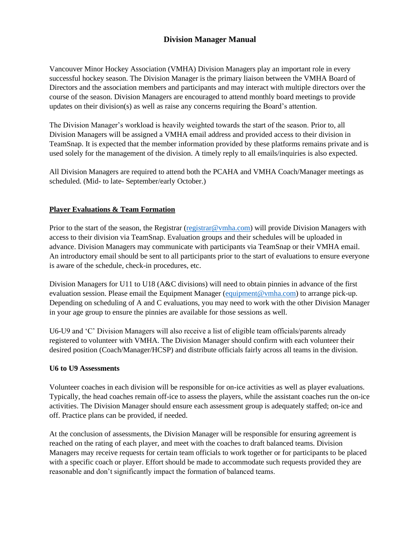# **Division Manager Manual**

Vancouver Minor Hockey Association (VMHA) Division Managers play an important role in every successful hockey season. The Division Manager is the primary liaison between the VMHA Board of Directors and the association members and participants and may interact with multiple directors over the course of the season. Division Managers are encouraged to attend monthly board meetings to provide updates on their division(s) as well as raise any concerns requiring the Board's attention.

The Division Manager's workload is heavily weighted towards the start of the season. Prior to, all Division Managers will be assigned a VMHA email address and provided access to their division in TeamSnap. It is expected that the member information provided by these platforms remains private and is used solely for the management of the division. A timely reply to all emails/inquiries is also expected.

All Division Managers are required to attend both the PCAHA and VMHA Coach/Manager meetings as scheduled. (Mid- to late- September/early October.)

# **Player Evaluations & Team Formation**

Prior to the start of the season, the Registrar [\(registrar@vmha.com\)](mailto:registrar@vmha.com) will provide Division Managers with access to their division via TeamSnap. Evaluation groups and their schedules will be uploaded in advance. Division Managers may communicate with participants via TeamSnap or their VMHA email. An introductory email should be sent to all participants prior to the start of evaluations to ensure everyone is aware of the schedule, check-in procedures, etc.

Division Managers for U11 to U18 (A&C divisions) will need to obtain pinnies in advance of the first evaluation session. Please email the Equipment Manager [\(equipment@vmha.com\)](mailto:equipment@vmha.com) to arrange pick-up. Depending on scheduling of A and C evaluations, you may need to work with the other Division Manager in your age group to ensure the pinnies are available for those sessions as well.

U6-U9 and 'C' Division Managers will also receive a list of eligible team officials/parents already registered to volunteer with VMHA. The Division Manager should confirm with each volunteer their desired position (Coach/Manager/HCSP) and distribute officials fairly across all teams in the division.

#### **U6 to U9 Assessments**

Volunteer coaches in each division will be responsible for on-ice activities as well as player evaluations. Typically, the head coaches remain off-ice to assess the players, while the assistant coaches run the on-ice activities. The Division Manager should ensure each assessment group is adequately staffed; on-ice and off. Practice plans can be provided, if needed.

At the conclusion of assessments, the Division Manager will be responsible for ensuring agreement is reached on the rating of each player, and meet with the coaches to draft balanced teams. Division Managers may receive requests for certain team officials to work together or for participants to be placed with a specific coach or player. Effort should be made to accommodate such requests provided they are reasonable and don't significantly impact the formation of balanced teams.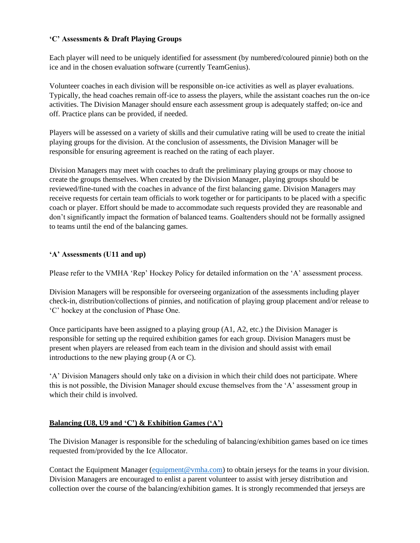# **'C' Assessments & Draft Playing Groups**

Each player will need to be uniquely identified for assessment (by numbered/coloured pinnie) both on the ice and in the chosen evaluation software (currently TeamGenius).

Volunteer coaches in each division will be responsible on-ice activities as well as player evaluations. Typically, the head coaches remain off-ice to assess the players, while the assistant coaches run the on-ice activities. The Division Manager should ensure each assessment group is adequately staffed; on-ice and off. Practice plans can be provided, if needed.

Players will be assessed on a variety of skills and their cumulative rating will be used to create the initial playing groups for the division. At the conclusion of assessments, the Division Manager will be responsible for ensuring agreement is reached on the rating of each player.

Division Managers may meet with coaches to draft the preliminary playing groups or may choose to create the groups themselves. When created by the Division Manager, playing groups should be reviewed/fine-tuned with the coaches in advance of the first balancing game. Division Managers may receive requests for certain team officials to work together or for participants to be placed with a specific coach or player. Effort should be made to accommodate such requests provided they are reasonable and don't significantly impact the formation of balanced teams. Goaltenders should not be formally assigned to teams until the end of the balancing games.

### **'A' Assessments (U11 and up)**

Please refer to the VMHA 'Rep' Hockey Policy for detailed information on the 'A' assessment process.

Division Managers will be responsible for overseeing organization of the assessments including player check-in, distribution/collections of pinnies, and notification of playing group placement and/or release to 'C' hockey at the conclusion of Phase One.

Once participants have been assigned to a playing group (A1, A2, etc.) the Division Manager is responsible for setting up the required exhibition games for each group. Division Managers must be present when players are released from each team in the division and should assist with email introductions to the new playing group (A or C).

'A' Division Managers should only take on a division in which their child does not participate. Where this is not possible, the Division Manager should excuse themselves from the 'A' assessment group in which their child is involved.

# **Balancing (U8, U9 and 'C') & Exhibition Games ('A')**

The Division Manager is responsible for the scheduling of balancing/exhibition games based on ice times requested from/provided by the Ice Allocator.

Contact the Equipment Manager [\(equipment@vmha.com\)](mailto:equipment@vmha.com) to obtain jerseys for the teams in your division. Division Managers are encouraged to enlist a parent volunteer to assist with jersey distribution and collection over the course of the balancing/exhibition games. It is strongly recommended that jerseys are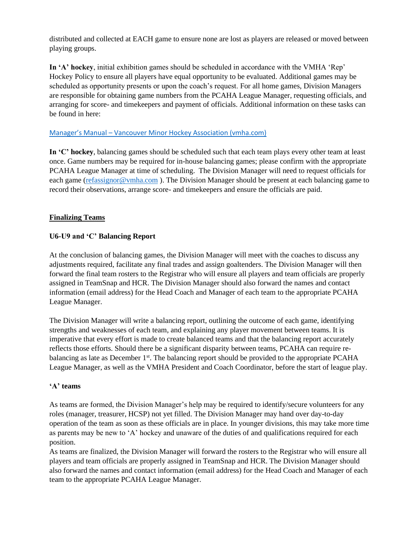distributed and collected at EACH game to ensure none are lost as players are released or moved between playing groups.

**In 'A' hockey**, initial exhibition games should be scheduled in accordance with the VMHA 'Rep' Hockey Policy to ensure all players have equal opportunity to be evaluated. Additional games may be scheduled as opportunity presents or upon the coach's request. For all home games, Division Managers are responsible for obtaining game numbers from the PCAHA League Manager, requesting officials, and arranging for score- and timekeepers and payment of officials. Additional information on these tasks can be found in here:

### Manager's Manual – [Vancouver Minor Hockey Association \(vmha.com\)](https://www.vmha.com/managers-manual/)

**In 'C' hockey**, balancing games should be scheduled such that each team plays every other team at least once. Game numbers may be required for in-house balancing games; please confirm with the appropriate PCAHA League Manager at time of scheduling. The Division Manager will need to request officials for each game [\(refassignor@vmha.com](mailto:refassignor@vmha.com)). The Division Manager should be present at each balancing game to record their observations, arrange score- and timekeepers and ensure the officials are paid.

# **Finalizing Teams**

# **U6-U9 and 'C' Balancing Report**

At the conclusion of balancing games, the Division Manager will meet with the coaches to discuss any adjustments required, facilitate any final trades and assign goaltenders. The Division Manager will then forward the final team rosters to the Registrar who will ensure all players and team officials are properly assigned in TeamSnap and HCR. The Division Manager should also forward the names and contact information (email address) for the Head Coach and Manager of each team to the appropriate PCAHA League Manager.

The Division Manager will write a balancing report, outlining the outcome of each game, identifying strengths and weaknesses of each team, and explaining any player movement between teams. It is imperative that every effort is made to create balanced teams and that the balancing report accurately reflects those efforts. Should there be a significant disparity between teams, PCAHA can require rebalancing as late as December 1<sup>st</sup>. The balancing report should be provided to the appropriate PCAHA League Manager, as well as the VMHA President and Coach Coordinator, before the start of league play.

#### **'A' teams**

As teams are formed, the Division Manager's help may be required to identify/secure volunteers for any roles (manager, treasurer, HCSP) not yet filled. The Division Manager may hand over day-to-day operation of the team as soon as these officials are in place. In younger divisions, this may take more time as parents may be new to 'A' hockey and unaware of the duties of and qualifications required for each position.

As teams are finalized, the Division Manager will forward the rosters to the Registrar who will ensure all players and team officials are properly assigned in TeamSnap and HCR. The Division Manager should also forward the names and contact information (email address) for the Head Coach and Manager of each team to the appropriate PCAHA League Manager.